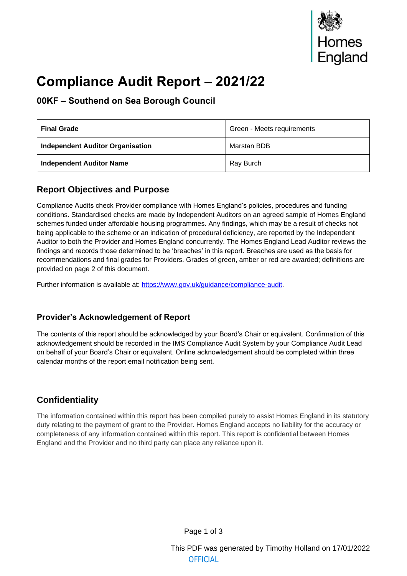

# **Compliance Audit Report – 2021/22**

#### **00KF – Southend on Sea Borough Council**

| <b>Final Grade</b>                      | Green - Meets requirements |
|-----------------------------------------|----------------------------|
| <b>Independent Auditor Organisation</b> | Marstan BDB                |
| <b>Independent Auditor Name</b>         | Ray Burch                  |

#### **Report Objectives and Purpose**

Compliance Audits check Provider compliance with Homes England's policies, procedures and funding conditions. Standardised checks are made by Independent Auditors on an agreed sample of Homes England schemes funded under affordable housing programmes. Any findings, which may be a result of checks not being applicable to the scheme or an indication of procedural deficiency, are reported by the Independent Auditor to both the Provider and Homes England concurrently. The Homes England Lead Auditor reviews the findings and records those determined to be 'breaches' in this report. Breaches are used as the basis for recommendations and final grades for Providers. Grades of green, amber or red are awarded; definitions are provided on page 2 of this document.

Further information is available at: https://www.gov.uk/guidance/compliance-audit.

#### **Provider's Acknowledgem[ent of Report](https://www.gov.uk/guidance/compliance-audit)**

The contents of this report should be acknowledged by your Board's Chair or equivalent. Confirmation of this acknowledgement should be recorded in the IMS Compliance Audit System by your Compliance Audit Lead on behalf of your Board's Chair or equivalent. Online acknowledgement should be completed within three calendar months of the report email notification being sent.

#### **Confidentiality**

The information contained within this report has been compiled purely to assist Homes England in its statutory duty relating to the payment of grant to the Provider. Homes England accepts no liability for the accuracy or completeness of any information contained within this report. This report is confidential between Homes England and the Provider and no third party can place any reliance upon it.

This PDF was generated by Timothy Holland on 17/01/2022 **OFFICIAL**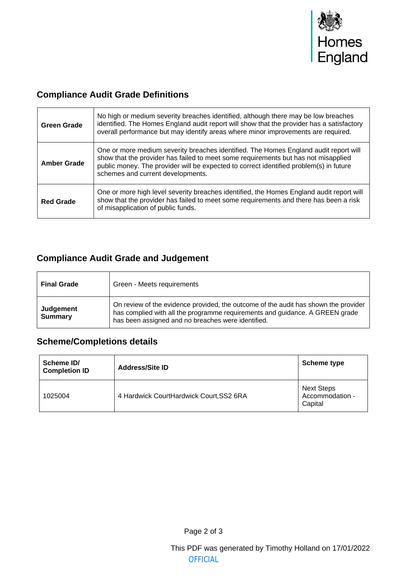

### **Compliance Audit Grade Definitions**

| <b>Green Grade</b> | No high or medium severity breaches identified, although there may be low breaches<br>identified. The Homes England audit report will show that the provider has a satisfactory<br>overall performance but may identify areas where minor improvements are required.                                      |
|--------------------|-----------------------------------------------------------------------------------------------------------------------------------------------------------------------------------------------------------------------------------------------------------------------------------------------------------|
| <b>Amber Grade</b> | One or more medium severity breaches identified. The Homes England audit report will<br>show that the provider has failed to meet some requirements but has not misapplied<br>public money. The provider will be expected to correct identified problem(s) in future<br>schemes and current developments. |
| <b>Red Grade</b>   | One or more high level severity breaches identified, the Homes England audit report will<br>show that the provider has failed to meet some requirements and there has been a risk<br>of misapplication of public funds.                                                                                   |

### **Compliance Audit Grade and Judgement**

| <b>Final Grade</b>          | Green - Meets requirements                                                                                                                                                                                                |
|-----------------------------|---------------------------------------------------------------------------------------------------------------------------------------------------------------------------------------------------------------------------|
| Judgement<br><b>Summary</b> | On review of the evidence provided, the outcome of the audit has shown the provider<br>has complied with all the programme requirements and guidance. A GREEN grade<br>has been assigned and no breaches were identified. |

### **Scheme/Completions details**

| Scheme ID/<br><b>Completion ID</b> | <b>Address/Site ID</b>                  | Scheme type                                     |
|------------------------------------|-----------------------------------------|-------------------------------------------------|
| 1025004                            | 4 Hardwick CourtHardwick Court, SS2 6RA | <b>Next Steps</b><br>Accommodation -<br>Capital |